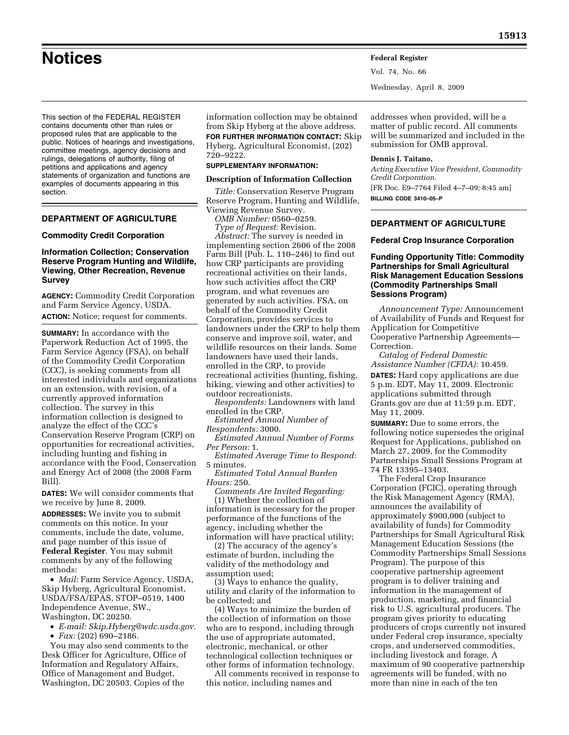This section of the FEDERAL REGISTER contains documents other than rules or proposed rules that are applicable to the public. Notices of hearings and investigations, committee meetings, agency decisions and rulings, delegations of authority, filing of petitions and applications and agency statements of organization and functions are examples of documents appearing in this section.

## **DEPARTMENT OF AGRICULTURE**

#### **Commodity Credit Corporation**

## **Information Collection; Conservation Reserve Program Hunting and Wildlife, Viewing, Other Recreation, Revenue Survey**

**AGENCY:** Commodity Credit Corporation and Farm Service Agency, USDA.

**ACTION:** Notice; request for comments.

**SUMMARY:** In accordance with the Paperwork Reduction Act of 1995, the Farm Service Agency (FSA), on behalf of the Commodity Credit Corporation (CCC), is seeking comments from all interested individuals and organizations on an extension, with revision, of a currently approved information collection. The survey in this information collection is designed to analyze the effect of the CCC's Conservation Reserve Program (CRP) on opportunities for recreational activities, including hunting and fishing in accordance with the Food, Conservation and Energy Act of 2008 (the 2008 Farm Bill).

**DATES:** We will consider comments that we receive by June 8, 2009.

**ADDRESSES:** We invite you to submit comments on this notice. In your comments, include the date, volume, and page number of this issue of **Federal Register**. You may submit comments by any of the following methods:

• *Mail:* Farm Service Agency, USDA, Skip Hyberg, Agricultural Economist, USDA/FSA/EPAS, STOP–0519, 1400 Independence Avenue, SW., Washington, DC 20250.

• *E-mail: Skip.Hyberg@wdc.usda.gov.* 

• *Fax:* (202) 690–2186.

You may also send comments to the Desk Officer for Agriculture, Office of Information and Regulatory Affairs, Office of Management and Budget, Washington, DC 20503. Copies of the

information collection may be obtained from Skip Hyberg at the above address. **FOR FURTHER INFORMATION CONTACT:** Skip Hyberg, Agricultural Economist, (202) 720–9222.

#### **SUPPLEMENTARY INFORMATION:**

#### **Description of Information Collection**

*Title:* Conservation Reserve Program Reserve Program, Hunting and Wildlife, Viewing Revenue Survey.

*OMB Number:* 0560–0259.

*Type of Request:* Revision.

*Abstract:* The survey is needed in implementing section 2606 of the 2008 Farm Bill (Pub. L. 110–246) to find out how CRP participants are providing recreational activities on their lands, how such activities affect the CRP program, and what revenues are generated by such activities. FSA, on behalf of the Commodity Credit Corporation, provides services to landowners under the CRP to help them conserve and improve soil, water, and wildlife resources on their lands. Some landowners have used their lands, enrolled in the CRP, to provide recreational activities (hunting, fishing, hiking, viewing and other activities) to outdoor recreationists.

*Respondents:* Landowners with land enrolled in the CRP.

*Estimated Annual Number of Respondents:* 3000.

*Estimated Annual Number of Forms Per Person:* 1.

*Estimated Average Time to Respond:*  5 minutes.

*Estimated Total Annual Burden Hours:* 250.

*Comments Are Invited Regarding:*  (1) Whether the collection of information is necessary for the proper performance of the functions of the agency, including whether the information will have practical utility;

(2) The accuracy of the agency's estimate of burden, including the validity of the methodology and assumption used;

(3) Ways to enhance the quality, utility and clarity of the information to be collected; and

(4) Ways to minimize the burden of the collection of information on those who are to respond, including through the use of appropriate automated, electronic, mechanical, or other technological collection techniques or other forms of information technology.

All comments received in response to this notice, including names and

addresses when provided, will be a matter of public record. All comments will be summarized and included in the submission for OMB approval.

#### **Dennis J. Taitano,**

Vol. 74, No. 66

Wednesday, April 8, 2009

*Acting Executive Vice President, Commodity Credit Corporation.*  [FR Doc. E9–7764 Filed 4–7–09; 8:45 am] **BILLING CODE 3410–05–P** 

## **DEPARTMENT OF AGRICULTURE**

### **Federal Crop Insurance Corporation**

## **Funding Opportunity Title: Commodity Partnerships for Small Agricultural Risk Management Education Sessions (Commodity Partnerships Small Sessions Program)**

*Announcement Type:* Announcement of Availability of Funds and Request for Application for Competitive Cooperative Partnership Agreements— Correction.

*Catalog of Federal Domestic Assistance Number (CFDA):* 10.459. **DATES:** Hard copy applications are due 5 p.m. EDT, May 11, 2009. Electronic applications submitted through Grants.gov are due at 11:59 p.m. EDT, May 11, 2009.

**SUMMARY:** Due to some errors, the following notice supersedes the original Request for Applications, published on March 27, 2009, for the Commodity Partnerships Small Sessions Program at 74 FR 13395–13403.

The Federal Crop Insurance Corporation (FCIC), operating through the Risk Management Agency (RMA), announces the availability of approximately \$900,000 (subject to availability of funds) for Commodity Partnerships for Small Agricultural Risk Management Education Sessions (the Commodity Partnerships Small Sessions Program). The purpose of this cooperative partnership agreement program is to deliver training and information in the management of production, marketing, and financial risk to U.S. agricultural producers. The program gives priority to educating producers of crops currently not insured under Federal crop insurance, specialty crops, and underserved commodities, including livestock and forage. A maximum of 90 cooperative partnership agreements will be funded, with no more than nine in each of the ten

**Notices Federal Register**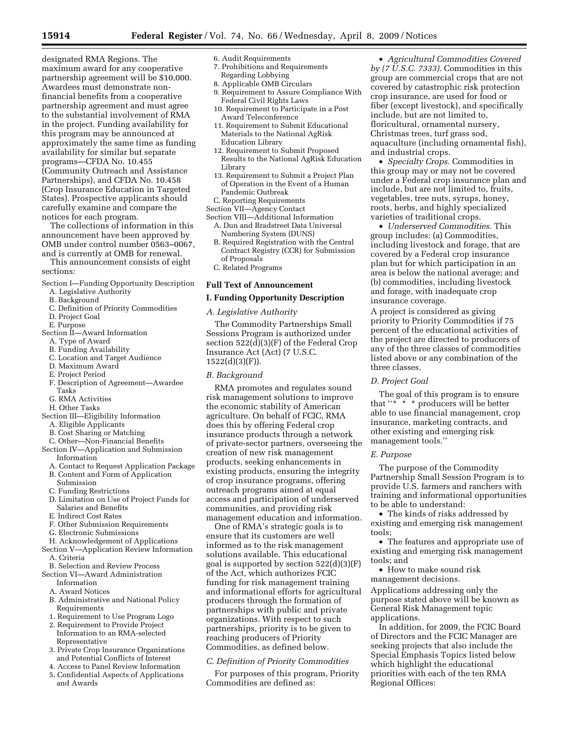designated RMA Regions. The maximum award for any cooperative partnership agreement will be \$10,000. Awardees must demonstrate nonfinancial benefits from a cooperative partnership agreement and must agree to the substantial involvement of RMA in the project. Funding availability for this program may be announced at approximately the same time as funding availability for similar but separate programs—CFDA No. 10.455 (Community Outreach and Assistance Partnerships), and CFDA No. 10.458 (Crop Insurance Education in Targeted States). Prospective applicants should carefully examine and compare the notices for each program.

The collections of information in this announcement have been approved by OMB under control number 0563–0067, and is currently at OMB for renewal.

This announcement consists of eight sections:

Section I—Funding Opportunity Description

- A. Legislative Authority
- B. Background
- C. Definition of Priority Commodities
- D. Project Goal
- E. Purpose
- Section II—Award Information
	- A. Type of Award
	- B. Funding Availability
	- C. Location and Target Audience
	- D. Maximum Award
	- E. Project Period
	- F. Description of Agreement—Awardee Tasks
	- G. RMA Activities
	- H. Other Tasks
- Section III—Eligibility Information
	- A. Eligible Applicants
	- B. Cost Sharing or Matching
- C. Other—Non-Financial Benefits Section IV—Application and Submission
	- Information
	- A. Contact to Request Application Package B. Content and Form of Application
	- Submission
	- C. Funding Restrictions
	- D. Limitation on Use of Project Funds for Salaries and Benefits
	- E. Indirect Cost Rates
	- F. Other Submission Requirements
	- G. Electronic Submissions
- H. Acknowledgement of Applications
- Section V—Application Review Information
	- A. Criteria
- B. Selection and Review Process
- Section VI—Award Administration
	- Information
	- A. Award Notices
	- B. Administrative and National Policy Requirements
	- 1. Requirement to Use Program Logo
	- 2. Requirement to Provide Project Information to an RMA-selected Representative
	- 3. Private Crop Insurance Organizations and Potential Conflicts of Interest
	- 4. Access to Panel Review Information
	- 5. Confidential Aspects of Applications and Awards
- 6. Audit Requirements
	- 7. Prohibitions and Requirements
	- Regarding Lobbying
	- 8. Applicable OMB Circulars
	- 9. Requirement to Assure Compliance With Federal Civil Rights Laws
	- 10. Requirement to Participate in a Post Award Teleconference
	- 11. Requirement to Submit Educational Materials to the National AgRisk Education Library
	- 12. Requirement to Submit Proposed Results to the National AgRisk Education Library
	- 13. Requirement to Submit a Project Plan of Operation in the Event of a Human Pandemic Outbreak
- C. Reporting Requirements
- Section VII—Agency Contact
- Section VIII—Additional Information A. Dun and Bradstreet Data Universal Numbering System (DUNS)
	- B. Required Registration with the Central Contract Registry (CCR) for Submission of Proposals
	- C. Related Programs

## **Full Text of Announcement**

### **I. Funding Opportunity Description**

### *A. Legislative Authority*

The Commodity Partnerships Small Sessions Program is authorized under section 522(d)(3)(F) of the Federal Crop Insurance Act (Act) (7 U.S.C. 1522(d)(3)(F)).

### *B. Background*

RMA promotes and regulates sound risk management solutions to improve the economic stability of American agriculture. On behalf of FCIC, RMA does this by offering Federal crop insurance products through a network of private-sector partners, overseeing the creation of new risk management products, seeking enhancements in existing products, ensuring the integrity of crop insurance programs, offering outreach programs aimed at equal access and participation of underserved communities, and providing risk management education and information.

One of RMA's strategic goals is to ensure that its customers are well informed as to the risk management solutions available. This educational goal is supported by section  $522(d)(3)(F)$ of the Act, which authorizes FCIC funding for risk management training and informational efforts for agricultural producers through the formation of partnerships with public and private organizations. With respect to such partnerships, priority is to be given to reaching producers of Priority Commodities, as defined below.

# *C. Definition of Priority Commodities*

For purposes of this program, Priority Commodities are defined as:

• *Agricultural Commodities Covered by (7 U.S.C. 7333)*. Commodities in this group are commercial crops that are not covered by catastrophic risk protection crop insurance, are used for food or fiber (except livestock), and specifically include, but are not limited to, floricultural, ornamental nursery, Christmas trees, turf grass sod, aquaculture (including ornamental fish), and industrial crops.

• *Specialty Crops*. Commodities in this group may or may not be covered under a Federal crop insurance plan and include, but are not limited to, fruits, vegetables, tree nuts, syrups, honey, roots, herbs, and highly specialized varieties of traditional crops.

• *Underserved Commodities*. This group includes: (a) Commodities, including livestock and forage, that are covered by a Federal crop insurance plan but for which participation in an area is below the national average; and (b) commodities, including livestock and forage, with inadequate crop insurance coverage.

A project is considered as giving priority to Priority Commodities if 75 percent of the educational activities of the project are directed to producers of any of the three classes of commodities listed above or any combination of the three classes.

### *D. Project Goal*

The goal of this program is to ensure that "\* \* \* producers will be better able to use financial management, crop insurance, marketing contracts, and other existing and emerging risk management tools.''

### *E. Purpose*

The purpose of the Commodity Partnership Small Session Program is to provide U.S. farmers and ranchers with training and informational opportunities to be able to understand:

• The kinds of risks addressed by existing and emerging risk management tools;

• The features and appropriate use of existing and emerging risk management tools; and

• How to make sound risk management decisions.

Applications addressing only the purpose stated above will be known as General Risk Management topic applications.

In addition, for 2009, the FCIC Board of Directors and the FCIC Manager are seeking projects that also include the Special Emphasis Topics listed below which highlight the educational priorities with each of the ten RMA Regional Offices: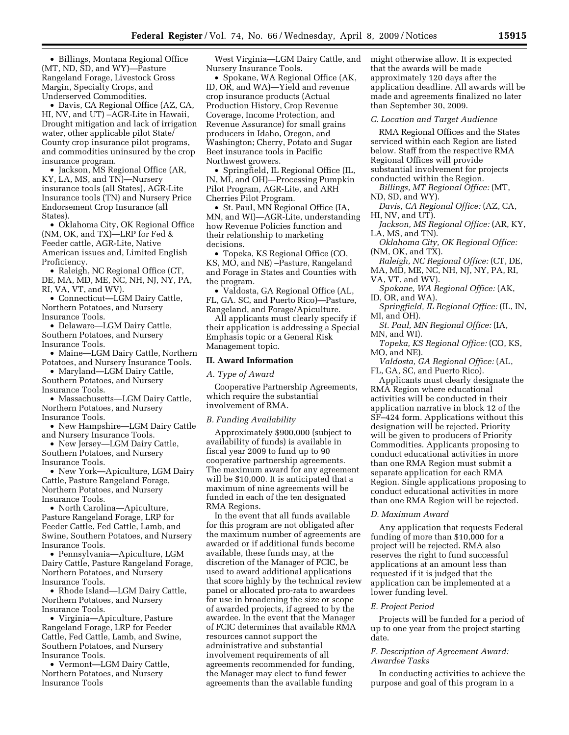• Billings, Montana Regional Office (MT, ND, SD, and WY)—Pasture Rangeland Forage, Livestock Gross Margin, Specialty Crops, and Underserved Commodities.

• Davis, CA Regional Office (AZ, CA, HI, NV, and UT) –AGR-Lite in Hawaii, Drought mitigation and lack of irrigation water, other applicable pilot State/ County crop insurance pilot programs, and commodities uninsured by the crop insurance program.

• Jackson, MS Regional Office (AR, KY, LA, MS, and TN)—Nursery insurance tools (all States), AGR-Lite Insurance tools (TN) and Nursery Price Endorsement Crop Insurance (all States).

• Oklahoma City, OK Regional Office (NM, OK, and TX)—LRP for Fed & Feeder cattle, AGR-Lite, Native American issues and, Limited English Proficiency.

• Raleigh, NC Regional Office (CT, DE, MA, MD, ME, NC, NH, NJ, NY, PA, RI, VA, VT, and WV).

• Connecticut—LGM Dairy Cattle, Northern Potatoes, and Nursery Insurance Tools.

• Delaware—LGM Dairy Cattle, Southern Potatoes, and Nursery Insurance Tools.

• Maine—LGM Dairy Cattle, Northern Potatoes, and Nursery Insurance Tools.

• Maryland—LGM Dairy Cattle, Southern Potatoes, and Nursery Insurance Tools.

• Massachusetts—LGM Dairy Cattle, Northern Potatoes, and Nursery Insurance Tools.

• New Hampshire—LGM Dairy Cattle and Nursery Insurance Tools.

• New Jersey—LGM Dairy Cattle, Southern Potatoes, and Nursery Insurance Tools.

• New York—Apiculture, LGM Dairy Cattle, Pasture Rangeland Forage, Northern Potatoes, and Nursery Insurance Tools.

• North Carolina—Apiculture, Pasture Rangeland Forage, LRP for Feeder Cattle, Fed Cattle, Lamb, and Swine, Southern Potatoes, and Nursery Insurance Tools.

• Pennsylvania—Apiculture, LGM Dairy Cattle, Pasture Rangeland Forage, Northern Potatoes, and Nursery Insurance Tools.

• Rhode Island—LGM Dairy Cattle, Northern Potatoes, and Nursery Insurance Tools.

• Virginia—Apiculture, Pasture Rangeland Forage, LRP for Feeder Cattle, Fed Cattle, Lamb, and Swine, Southern Potatoes, and Nursery Insurance Tools.

• Vermont—LGM Dairy Cattle, Northern Potatoes, and Nursery Insurance Tools

West Virginia—LGM Dairy Cattle, and Nursery Insurance Tools.

• Spokane, WA Regional Office (AK, ID, OR, and WA)—Yield and revenue crop insurance products (Actual Production History, Crop Revenue Coverage, Income Protection, and Revenue Assurance) for small grains producers in Idaho, Oregon, and Washington; Cherry, Potato and Sugar Beet insurance tools in Pacific Northwest growers.

• Springfield, IL Regional Office (IL, IN, MI, and OH)—Processing Pumpkin Pilot Program, AGR-Lite, and ARH Cherries Pilot Program.

• St. Paul, MN Regional Office (IA, MN, and WI)—AGR-Lite, understanding how Revenue Policies function and their relationship to marketing decisions.

• Topeka, KS Regional Office (CO, KS, MO, and NE) –Pasture, Rangeland and Forage in States and Counties with the program.

• Valdosta, GA Regional Office (AL, FL, GA. SC, and Puerto Rico)—Pasture, Rangeland, and Forage/Apiculture.

All applicants must clearly specify if their application is addressing a Special Emphasis topic or a General Risk Management topic.

#### **II. Award Information**

#### *A. Type of Award*

Cooperative Partnership Agreements, which require the substantial involvement of RMA.

#### *B. Funding Availability*

Approximately \$900,000 (subject to availability of funds) is available in fiscal year 2009 to fund up to 90 cooperative partnership agreements. The maximum award for any agreement will be \$10,000. It is anticipated that a maximum of nine agreements will be funded in each of the ten designated RMA Regions.

In the event that all funds available for this program are not obligated after the maximum number of agreements are awarded or if additional funds become available, these funds may, at the discretion of the Manager of FCIC, be used to award additional applications that score highly by the technical review panel or allocated pro-rata to awardees for use in broadening the size or scope of awarded projects, if agreed to by the awardee. In the event that the Manager of FCIC determines that available RMA resources cannot support the administrative and substantial involvement requirements of all agreements recommended for funding, the Manager may elect to fund fewer agreements than the available funding

might otherwise allow. It is expected that the awards will be made approximately 120 days after the application deadline. All awards will be made and agreements finalized no later than September 30, 2009.

#### *C. Location and Target Audience*

RMA Regional Offices and the States serviced within each Region are listed below. Staff from the respective RMA Regional Offices will provide substantial involvement for projects conducted within the Region.

*Billings, MT Regional Office:* (MT, ND, SD, and WY).

*Davis, CA Regional Office:* (AZ, CA, HI, NV, and UT).

*Jackson, MS Regional Office:* (AR, KY, LA, MS, and TN).

*Oklahoma City, OK Regional Office:*  (NM, OK, and TX).

*Raleigh, NC Regional Office:* (CT, DE, MA, MD, ME, NC, NH, NJ, NY, PA, RI,

VA, VT, and WV).

*Spokane, WA Regional Office:* (AK, ID, OR, and WA).

*Springfield, IL Regional Office:* (IL, IN, MI, and OH).

*St. Paul, MN Regional Office:* (IA, MN, and WI).

*Topeka, KS Regional Office:* (CO, KS, MO, and NE).

*Valdosta, GA Regional Office:* (AL, FL, GA, SC, and Puerto Rico).

Applicants must clearly designate the RMA Region where educational activities will be conducted in their application narrative in block 12 of the SF–424 form. Applications without this designation will be rejected. Priority will be given to producers of Priority Commodities. Applicants proposing to conduct educational activities in more than one RMA Region must submit a separate application for each RMA Region. Single applications proposing to conduct educational activities in more than one RMA Region will be rejected.

### *D. Maximum Award*

Any application that requests Federal funding of more than \$10,000 for a project will be rejected. RMA also reserves the right to fund successful applications at an amount less than requested if it is judged that the application can be implemented at a lower funding level.

### *E. Project Period*

Projects will be funded for a period of up to one year from the project starting date.

# *F. Description of Agreement Award: Awardee Tasks*

In conducting activities to achieve the purpose and goal of this program in a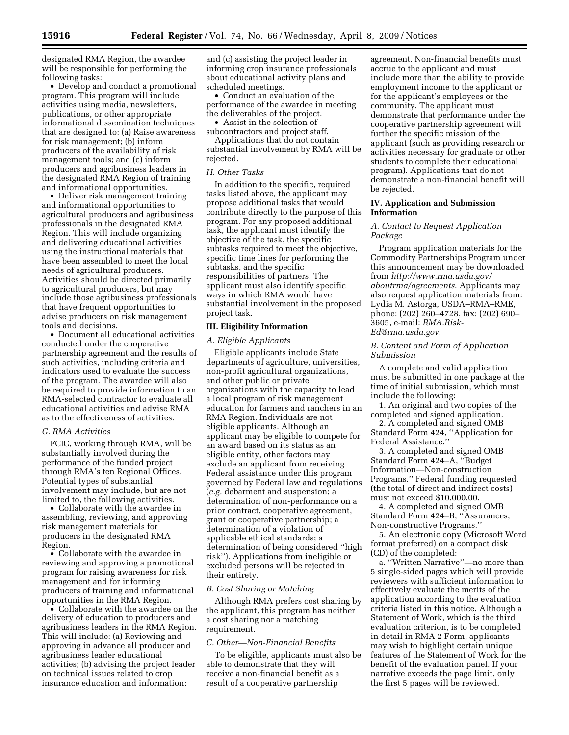designated RMA Region, the awardee will be responsible for performing the following tasks:

• Develop and conduct a promotional program. This program will include activities using media, newsletters, publications, or other appropriate informational dissemination techniques that are designed to: (a) Raise awareness for risk management; (b) inform producers of the availability of risk management tools; and (c) inform producers and agribusiness leaders in the designated RMA Region of training and informational opportunities.

• Deliver risk management training and informational opportunities to agricultural producers and agribusiness professionals in the designated RMA Region. This will include organizing and delivering educational activities using the instructional materials that have been assembled to meet the local needs of agricultural producers. Activities should be directed primarily to agricultural producers, but may include those agribusiness professionals that have frequent opportunities to advise producers on risk management tools and decisions.

• Document all educational activities conducted under the cooperative partnership agreement and the results of such activities, including criteria and indicators used to evaluate the success of the program. The awardee will also be required to provide information to an RMA-selected contractor to evaluate all educational activities and advise RMA as to the effectiveness of activities.

### *G. RMA Activities*

FCIC, working through RMA, will be substantially involved during the performance of the funded project through RMA's ten Regional Offices. Potential types of substantial involvement may include, but are not limited to, the following activities.

• Collaborate with the awardee in assembling, reviewing, and approving risk management materials for producers in the designated RMA Region.

• Collaborate with the awardee in reviewing and approving a promotional program for raising awareness for risk management and for informing producers of training and informational opportunities in the RMA Region.

• Collaborate with the awardee on the delivery of education to producers and agribusiness leaders in the RMA Region. This will include: (a) Reviewing and approving in advance all producer and agribusiness leader educational activities; (b) advising the project leader on technical issues related to crop insurance education and information;

and (c) assisting the project leader in informing crop insurance professionals about educational activity plans and scheduled meetings.

• Conduct an evaluation of the performance of the awardee in meeting the deliverables of the project.

• Assist in the selection of

subcontractors and project staff. Applications that do not contain substantial involvement by RMA will be rejected.

#### *H. Other Tasks*

In addition to the specific, required tasks listed above, the applicant may propose additional tasks that would contribute directly to the purpose of this program. For any proposed additional task, the applicant must identify the objective of the task, the specific subtasks required to meet the objective, specific time lines for performing the subtasks, and the specific responsibilities of partners. The applicant must also identify specific ways in which RMA would have substantial involvement in the proposed project task.

### **III. Eligibility Information**

### *A. Eligible Applicants*

Eligible applicants include State departments of agriculture, universities, non-profit agricultural organizations, and other public or private organizations with the capacity to lead a local program of risk management education for farmers and ranchers in an RMA Region. Individuals are not eligible applicants. Although an applicant may be eligible to compete for an award based on its status as an eligible entity, other factors may exclude an applicant from receiving Federal assistance under this program governed by Federal law and regulations (*e.g.* debarment and suspension; a determination of non-performance on a prior contract, cooperative agreement, grant or cooperative partnership; a determination of a violation of applicable ethical standards; a determination of being considered ''high risk''). Applications from ineligible or excluded persons will be rejected in their entirety.

#### *B. Cost Sharing or Matching*

Although RMA prefers cost sharing by the applicant, this program has neither a cost sharing nor a matching requirement.

#### *C. Other—Non-Financial Benefits*

To be eligible, applicants must also be able to demonstrate that they will receive a non-financial benefit as a result of a cooperative partnership

agreement. Non-financial benefits must accrue to the applicant and must include more than the ability to provide employment income to the applicant or for the applicant's employees or the community. The applicant must demonstrate that performance under the cooperative partnership agreement will further the specific mission of the applicant (such as providing research or activities necessary for graduate or other students to complete their educational program). Applications that do not demonstrate a non-financial benefit will be rejected.

## **IV. Application and Submission Information**

### *A. Contact to Request Application Package*

Program application materials for the Commodity Partnerships Program under this announcement may be downloaded from *http://www.rma.usda.gov/ aboutrma/agreements*. Applicants may also request application materials from: Lydia M. Astorga, USDA–RMA–RME, phone: (202) 260–4728, fax: (202) 690– 3605, e-mail: *RMA.Risk-Ed@rma.usda.gov*.

# *B. Content and Form of Application Submission*

A complete and valid application must be submitted in one package at the time of initial submission, which must include the following:

1. An original and two copies of the completed and signed application.

2. A completed and signed OMB Standard Form 424, ''Application for Federal Assistance.''

3. A completed and signed OMB Standard Form 424–A, ''Budget Information—Non-construction Programs.'' Federal funding requested (the total of direct and indirect costs) must not exceed \$10,000.00.

4. A completed and signed OMB Standard Form 424–B, ''Assurances, Non-constructive Programs.''

5. An electronic copy (Microsoft Word format preferred) on a compact disk (CD) of the completed:

a. ''Written Narrative''—no more than 5 single-sided pages which will provide reviewers with sufficient information to effectively evaluate the merits of the application according to the evaluation criteria listed in this notice. Although a Statement of Work, which is the third evaluation criterion, is to be completed in detail in RMA 2 Form, applicants may wish to highlight certain unique features of the Statement of Work for the benefit of the evaluation panel. If your narrative exceeds the page limit, only the first 5 pages will be reviewed.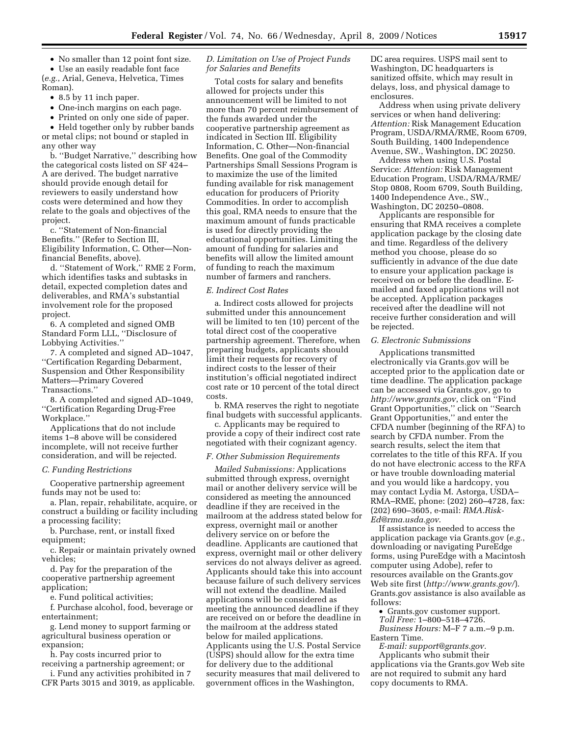• No smaller than 12 point font size.

• Use an easily readable font face (*e.g.*, Arial, Geneva, Helvetica, Times Roman).

• 8.5 by 11 inch paper.

- One-inch margins on each page.
- Printed on only one side of paper.

• Held together only by rubber bands or metal clips; not bound or stapled in any other way

b. ''Budget Narrative,'' describing how the categorical costs listed on SF 424– A are derived. The budget narrative should provide enough detail for reviewers to easily understand how costs were determined and how they relate to the goals and objectives of the project.

c. ''Statement of Non-financial Benefits.'' (Refer to Section III, Eligibility Information, C. Other—Nonfinancial Benefits, above).

d. ''Statement of Work,'' RME 2 Form, which identifies tasks and subtasks in detail, expected completion dates and deliverables, and RMA's substantial involvement role for the proposed project.

6. A completed and signed OMB Standard Form LLL, ''Disclosure of Lobbying Activities.''

7. A completed and signed AD–1047, ''Certification Regarding Debarment, Suspension and Other Responsibility Matters—Primary Covered Transactions.''

8. A completed and signed AD–1049, ''Certification Regarding Drug-Free Workplace.''

Applications that do not include items 1–8 above will be considered incomplete, will not receive further consideration, and will be rejected.

### *C. Funding Restrictions*

Cooperative partnership agreement funds may not be used to:

a. Plan, repair, rehabilitate, acquire, or construct a building or facility including a processing facility;

b. Purchase, rent, or install fixed equipment;

c. Repair or maintain privately owned vehicles;

d. Pay for the preparation of the cooperative partnership agreement application;

e. Fund political activities;

f. Purchase alcohol, food, beverage or entertainment;

g. Lend money to support farming or agricultural business operation or expansion;

h. Pay costs incurred prior to receiving a partnership agreement; or

i. Fund any activities prohibited in 7 CFR Parts 3015 and 3019, as applicable.

# *D. Limitation on Use of Project Funds for Salaries and Benefits*

Total costs for salary and benefits allowed for projects under this announcement will be limited to not more than 70 percent reimbursement of the funds awarded under the cooperative partnership agreement as indicated in Section III. Eligibility Information, C. Other—Non-financial Benefits. One goal of the Commodity Partnerships Small Sessions Program is to maximize the use of the limited funding available for risk management education for producers of Priority Commodities. In order to accomplish this goal, RMA needs to ensure that the maximum amount of funds practicable is used for directly providing the educational opportunities. Limiting the amount of funding for salaries and benefits will allow the limited amount of funding to reach the maximum number of farmers and ranchers.

### *E. Indirect Cost Rates*

a. Indirect costs allowed for projects submitted under this announcement will be limited to ten (10) percent of the total direct cost of the cooperative partnership agreement. Therefore, when preparing budgets, applicants should limit their requests for recovery of indirect costs to the lesser of their institution's official negotiated indirect cost rate or 10 percent of the total direct costs.

b. RMA reserves the right to negotiate final budgets with successful applicants.

c. Applicants may be required to provide a copy of their indirect cost rate negotiated with their cognizant agency.

## *F. Other Submission Requirements*

*Mailed Submissions:* Applications submitted through express, overnight mail or another delivery service will be considered as meeting the announced deadline if they are received in the mailroom at the address stated below for express, overnight mail or another delivery service on or before the deadline. Applicants are cautioned that express, overnight mail or other delivery services do not always deliver as agreed. Applicants should take this into account because failure of such delivery services will not extend the deadline. Mailed applications will be considered as meeting the announced deadline if they are received on or before the deadline in the mailroom at the address stated below for mailed applications. Applicants using the U.S. Postal Service (USPS) should allow for the extra time for delivery due to the additional security measures that mail delivered to government offices in the Washington,

DC area requires. USPS mail sent to Washington, DC headquarters is sanitized offsite, which may result in delays, loss, and physical damage to enclosures.

Address when using private delivery services or when hand delivering: *Attention:* Risk Management Education Program, USDA/RMA/RME, Room 6709, South Building, 1400 Independence Avenue, SW., Washington, DC 20250.

Address when using U.S. Postal Service: *Attention:* Risk Management Education Program, USDA/RMA/RME/ Stop 0808, Room 6709, South Building, 1400 Independence Ave., SW., Washington, DC 20250–0808.

Applicants are responsible for ensuring that RMA receives a complete application package by the closing date and time. Regardless of the delivery method you choose, please do so sufficiently in advance of the due date to ensure your application package is received on or before the deadline. Emailed and faxed applications will not be accepted. Application packages received after the deadline will not receive further consideration and will be rejected.

### *G. Electronic Submissions*

Applications transmitted electronically via Grants.gov will be accepted prior to the application date or time deadline. The application package can be accessed via Grants.gov, go to *http://www.grants.gov*, click on ''Find Grant Opportunities,'' click on ''Search Grant Opportunities,'' and enter the CFDA number (beginning of the RFA) to search by CFDA number. From the search results, select the item that correlates to the title of this RFA. If you do not have electronic access to the RFA or have trouble downloading material and you would like a hardcopy, you may contact Lydia M. Astorga, USDA– RMA–RME, phone: (202) 260–4728, fax: (202) 690–3605, e-mail: *RMA.Risk-Ed@rma.usda.gov*.

If assistance is needed to access the application package via Grants.gov (*e.g.*, downloading or navigating PureEdge forms, using PureEdge with a Macintosh computer using Adobe), refer to resources available on the Grants.gov Web site first (*http://www.grants.gov/*). Grants.gov assistance is also available as follows:

• Grants.gov customer support.

*Toll Free:* 1–800–518–4726. *Business Hours:* M–F 7 a.m.–9 p.m.

Eastern Time. *E-mail: support@grants.gov.* 

Applicants who submit their applications via the Grants.gov Web site are not required to submit any hard copy documents to RMA.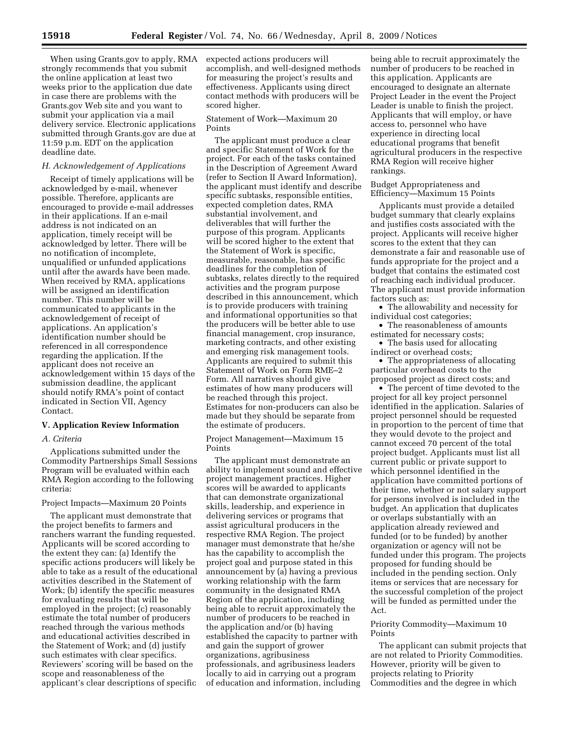When using Grants.gov to apply, RMA expected actions producers will strongly recommends that you submit the online application at least two weeks prior to the application due date in case there are problems with the Grants.gov Web site and you want to submit your application via a mail delivery service. Electronic applications submitted through Grants.gov are due at 11:59 p.m. EDT on the application deadline date.

### *H. Acknowledgement of Applications*

Receipt of timely applications will be acknowledged by e-mail, whenever possible. Therefore, applicants are encouraged to provide e-mail addresses in their applications. If an e-mail address is not indicated on an application, timely receipt will be acknowledged by letter. There will be no notification of incomplete, unqualified or unfunded applications until after the awards have been made. When received by RMA, applications will be assigned an identification number. This number will be communicated to applicants in the acknowledgement of receipt of applications. An application's identification number should be referenced in all correspondence regarding the application. If the applicant does not receive an acknowledgement within 15 days of the submission deadline, the applicant should notify RMA's point of contact indicated in Section VII, Agency Contact.

### **V. Application Review Information**

# *A. Criteria*

Applications submitted under the Commodity Partnerships Small Sessions Program will be evaluated within each RMA Region according to the following criteria:

### Project Impacts—Maximum 20 Points

The applicant must demonstrate that the project benefits to farmers and ranchers warrant the funding requested. Applicants will be scored according to the extent they can: (a) Identify the specific actions producers will likely be able to take as a result of the educational activities described in the Statement of Work; (b) identify the specific measures for evaluating results that will be employed in the project; (c) reasonably estimate the total number of producers reached through the various methods and educational activities described in the Statement of Work; and (d) justify such estimates with clear specifics. Reviewers' scoring will be based on the scope and reasonableness of the applicant's clear descriptions of specific

accomplish, and well-designed methods for measuring the project's results and effectiveness. Applicants using direct contact methods with producers will be scored higher.

Statement of Work—Maximum 20 Points

The applicant must produce a clear and specific Statement of Work for the project. For each of the tasks contained in the Description of Agreement Award (refer to Section II Award Information), the applicant must identify and describe specific subtasks, responsible entities, expected completion dates, RMA substantial involvement, and deliverables that will further the purpose of this program. Applicants will be scored higher to the extent that the Statement of Work is specific, measurable, reasonable, has specific deadlines for the completion of subtasks, relates directly to the required activities and the program purpose described in this announcement, which is to provide producers with training and informational opportunities so that the producers will be better able to use financial management, crop insurance, marketing contracts, and other existing and emerging risk management tools. Applicants are required to submit this Statement of Work on Form RME–2 Form. All narratives should give estimates of how many producers will be reached through this project. Estimates for non-producers can also be made but they should be separate from the estimate of producers.

Project Management—Maximum 15 Points

The applicant must demonstrate an ability to implement sound and effective project management practices. Higher scores will be awarded to applicants that can demonstrate organizational skills, leadership, and experience in delivering services or programs that assist agricultural producers in the respective RMA Region. The project manager must demonstrate that he/she has the capability to accomplish the project goal and purpose stated in this announcement by (a) having a previous working relationship with the farm community in the designated RMA Region of the application, including being able to recruit approximately the number of producers to be reached in the application and/or (b) having established the capacity to partner with and gain the support of grower organizations, agribusiness professionals, and agribusiness leaders locally to aid in carrying out a program of education and information, including

being able to recruit approximately the number of producers to be reached in this application. Applicants are encouraged to designate an alternate Project Leader in the event the Project Leader is unable to finish the project. Applicants that will employ, or have access to, personnel who have experience in directing local educational programs that benefit agricultural producers in the respective RMA Region will receive higher rankings.

Budget Appropriateness and Efficiency—Maximum 15 Points

Applicants must provide a detailed budget summary that clearly explains and justifies costs associated with the project. Applicants will receive higher scores to the extent that they can demonstrate a fair and reasonable use of funds appropriate for the project and a budget that contains the estimated cost of reaching each individual producer. The applicant must provide information factors such as:

• The allowability and necessity for individual cost categories;

• The reasonableness of amounts estimated for necessary costs;

• The basis used for allocating indirect or overhead costs;

• The appropriateness of allocating particular overhead costs to the proposed project as direct costs; and

• The percent of time devoted to the project for all key project personnel identified in the application. Salaries of project personnel should be requested in proportion to the percent of time that they would devote to the project and cannot exceed 70 percent of the total project budget. Applicants must list all current public or private support to which personnel identified in the application have committed portions of their time, whether or not salary support for persons involved is included in the budget. An application that duplicates or overlaps substantially with an application already reviewed and funded (or to be funded) by another organization or agency will not be funded under this program. The projects proposed for funding should be included in the pending section. Only items or services that are necessary for the successful completion of the project will be funded as permitted under the Act.

## Priority Commodity—Maximum 10 Points

The applicant can submit projects that are not related to Priority Commodities. However, priority will be given to projects relating to Priority Commodities and the degree in which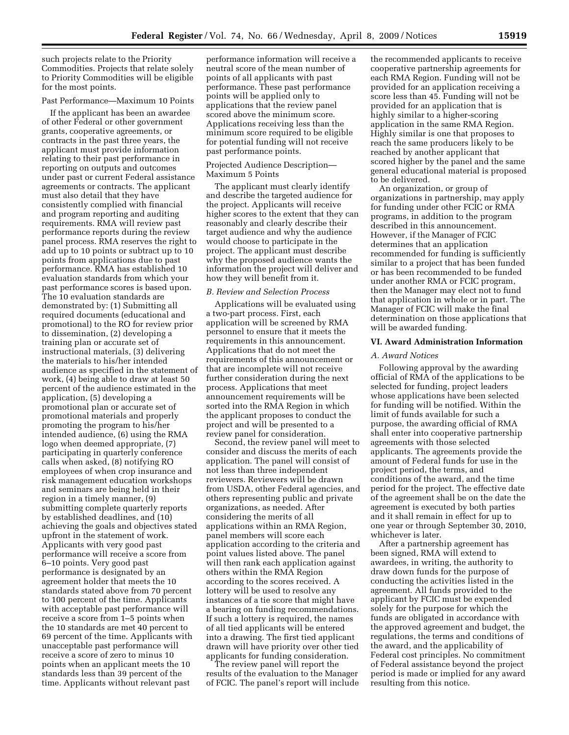such projects relate to the Priority Commodities. Projects that relate solely to Priority Commodities will be eligible for the most points.

### Past Performance—Maximum 10 Points

If the applicant has been an awardee of other Federal or other government grants, cooperative agreements, or contracts in the past three years, the applicant must provide information relating to their past performance in reporting on outputs and outcomes under past or current Federal assistance agreements or contracts. The applicant must also detail that they have consistently complied with financial and program reporting and auditing requirements. RMA will review past performance reports during the review panel process. RMA reserves the right to add up to 10 points or subtract up to 10 points from applications due to past performance. RMA has established 10 evaluation standards from which your past performance scores is based upon. The 10 evaluation standards are demonstrated by: (1) Submitting all required documents (educational and promotional) to the RO for review prior to dissemination, (2) developing a training plan or accurate set of instructional materials, (3) delivering the materials to his/her intended audience as specified in the statement of work, (4) being able to draw at least 50 percent of the audience estimated in the application, (5) developing a promotional plan or accurate set of promotional materials and properly promoting the program to his/her intended audience, (6) using the RMA logo when deemed appropriate, (7) participating in quarterly conference calls when asked, (8) notifying RO employees of when crop insurance and risk management education workshops and seminars are being held in their region in a timely manner, (9) submitting complete quarterly reports by established deadlines, and (10) achieving the goals and objectives stated upfront in the statement of work. Applicants with very good past performance will receive a score from 6–10 points. Very good past performance is designated by an agreement holder that meets the 10 standards stated above from 70 percent to 100 percent of the time. Applicants with acceptable past performance will receive a score from 1–5 points when the 10 standards are met 40 percent to 69 percent of the time. Applicants with unacceptable past performance will receive a score of zero to minus 10 points when an applicant meets the 10 standards less than 39 percent of the time. Applicants without relevant past

performance information will receive a neutral score of the mean number of points of all applicants with past performance. These past performance points will be applied only to applications that the review panel scored above the minimum score. Applications receiving less than the minimum score required to be eligible for potential funding will not receive past performance points.

### Projected Audience Description— Maximum 5 Points

The applicant must clearly identify and describe the targeted audience for the project. Applicants will receive higher scores to the extent that they can reasonably and clearly describe their target audience and why the audience would choose to participate in the project. The applicant must describe why the proposed audience wants the information the project will deliver and how they will benefit from it.

#### *B. Review and Selection Process*

Applications will be evaluated using a two-part process. First, each application will be screened by RMA personnel to ensure that it meets the requirements in this announcement. Applications that do not meet the requirements of this announcement or that are incomplete will not receive further consideration during the next process. Applications that meet announcement requirements will be sorted into the RMA Region in which the applicant proposes to conduct the project and will be presented to a review panel for consideration.

Second, the review panel will meet to consider and discuss the merits of each application. The panel will consist of not less than three independent reviewers. Reviewers will be drawn from USDA, other Federal agencies, and others representing public and private organizations, as needed. After considering the merits of all applications within an RMA Region, panel members will score each application according to the criteria and point values listed above. The panel will then rank each application against others within the RMA Region according to the scores received. A lottery will be used to resolve any instances of a tie score that might have a bearing on funding recommendations. If such a lottery is required, the names of all tied applicants will be entered into a drawing. The first tied applicant drawn will have priority over other tied applicants for funding consideration.

The review panel will report the results of the evaluation to the Manager of FCIC. The panel's report will include

the recommended applicants to receive cooperative partnership agreements for each RMA Region. Funding will not be provided for an application receiving a score less than 45. Funding will not be provided for an application that is highly similar to a higher-scoring application in the same RMA Region. Highly similar is one that proposes to reach the same producers likely to be reached by another applicant that scored higher by the panel and the same general educational material is proposed to be delivered.

An organization, or group of organizations in partnership, may apply for funding under other FCIC or RMA programs, in addition to the program described in this announcement. However, if the Manager of FCIC determines that an application recommended for funding is sufficiently similar to a project that has been funded or has been recommended to be funded under another RMA or FCIC program, then the Manager may elect not to fund that application in whole or in part. The Manager of FCIC will make the final determination on those applications that will be awarded funding.

### **VI. Award Administration Information**

### *A. Award Notices*

Following approval by the awarding official of RMA of the applications to be selected for funding, project leaders whose applications have been selected for funding will be notified. Within the limit of funds available for such a purpose, the awarding official of RMA shall enter into cooperative partnership agreements with those selected applicants. The agreements provide the amount of Federal funds for use in the project period, the terms, and conditions of the award, and the time period for the project. The effective date of the agreement shall be on the date the agreement is executed by both parties and it shall remain in effect for up to one year or through September 30, 2010, whichever is later.

After a partnership agreement has been signed, RMA will extend to awardees, in writing, the authority to draw down funds for the purpose of conducting the activities listed in the agreement. All funds provided to the applicant by FCIC must be expended solely for the purpose for which the funds are obligated in accordance with the approved agreement and budget, the regulations, the terms and conditions of the award, and the applicability of Federal cost principles. No commitment of Federal assistance beyond the project period is made or implied for any award resulting from this notice.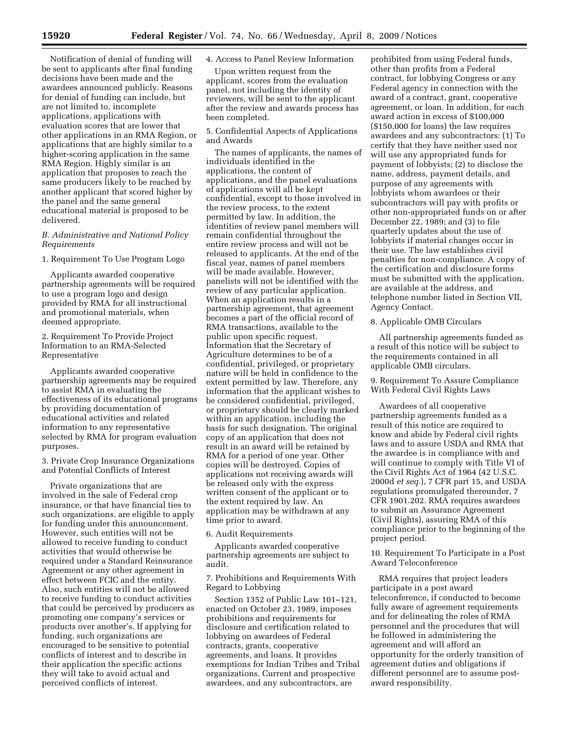Notification of denial of funding will be sent to applicants after final funding decisions have been made and the awardees announced publicly. Reasons for denial of funding can include, but are not limited to, incomplete applications, applications with evaluation scores that are lower that other applications in an RMA Region, or applications that are highly similar to a higher-scoring application in the same RMA Region. Highly similar is an application that proposes to reach the same producers likely to be reached by another applicant that scored higher by the panel and the same general educational material is proposed to be delivered.

## *B. Administrative and National Policy Requirements*

## 1. Requirement To Use Program Logo

Applicants awarded cooperative partnership agreements will be required to use a program logo and design provided by RMA for all instructional and promotional materials, when deemed appropriate.

# 2. Requirement To Provide Project Information to an RMA-Selected Representative

Applicants awarded cooperative partnership agreements may be required to assist RMA in evaluating the effectiveness of its educational programs by providing documentation of educational activities and related information to any representative selected by RMA for program evaluation purposes.

## 3. Private Crop Insurance Organizations and Potential Conflicts of Interest

Private organizations that are involved in the sale of Federal crop insurance, or that have financial ties to such organizations, are eligible to apply for funding under this announcement. However, such entities will not be allowed to receive funding to conduct activities that would otherwise be required under a Standard Reinsurance Agreement or any other agreement in effect between FCIC and the entity. Also, such entities will not be allowed to receive funding to conduct activities that could be perceived by producers as promoting one company's services or products over another's. If applying for funding, such organizations are encouraged to be sensitive to potential conflicts of interest and to describe in their application the specific actions they will take to avoid actual and perceived conflicts of interest.

## 4. Access to Panel Review Information

Upon written request from the applicant, scores from the evaluation panel, not including the identity of reviewers, will be sent to the applicant after the review and awards process has been completed.

# 5. Confidential Aspects of Applications and Awards

The names of applicants, the names of individuals identified in the applications, the content of applications, and the panel evaluations of applications will all be kept confidential, except to those involved in the review process, to the extent permitted by law. In addition, the identities of review panel members will remain confidential throughout the entire review process and will not be released to applicants. At the end of the fiscal year, names of panel members will be made available. However, panelists will not be identified with the review of any particular application. When an application results in a partnership agreement, that agreement becomes a part of the official record of RMA transactions, available to the public upon specific request. Information that the Secretary of Agriculture determines to be of a confidential, privileged, or proprietary nature will be held in confidence to the extent permitted by law. Therefore, any information that the applicant wishes to be considered confidential, privileged, or proprietary should be clearly marked within an application, including the basis for such designation. The original copy of an application that does not result in an award will be retained by RMA for a period of one year. Other copies will be destroyed. Copies of applications not receiving awards will be released only with the express written consent of the applicant or to the extent required by law. An application may be withdrawn at any time prior to award.

## 6. Audit Requirements

Applicants awarded cooperative partnership agreements are subject to audit.

7. Prohibitions and Requirements With Regard to Lobbying

Section 1352 of Public Law 101–121, enacted on October 23, 1989, imposes prohibitions and requirements for disclosure and certification related to lobbying on awardees of Federal contracts, grants, cooperative agreements, and loans. It provides exemptions for Indian Tribes and Tribal organizations. Current and prospective awardees, and any subcontractors, are

prohibited from using Federal funds, other than profits from a Federal contract, for lobbying Congress or any Federal agency in connection with the award of a contract, grant, cooperative agreement, or loan. In addition, for each award action in excess of \$100,000 (\$150,000 for loans) the law requires awardees and any subcontractors: (1) To certify that they have neither used nor will use any appropriated funds for payment of lobbyists; (2) to disclose the name, address, payment details, and purpose of any agreements with lobbyists whom awardees or their subcontractors will pay with profits or other non-appropriated funds on or after December 22, 1989; and (3) to file quarterly updates about the use of lobbyists if material changes occur in their use. The law establishes civil penalties for non-compliance. A copy of the certification and disclosure forms must be submitted with the application, are available at the address, and telephone number listed in Section VII, Agency Contact.

### 8. Applicable OMB Circulars

All partnership agreements funded as a result of this notice will be subject to the requirements contained in all applicable OMB circulars.

9. Requirement To Assure Compliance With Federal Civil Rights Laws

Awardees of all cooperative partnership agreements funded as a result of this notice are required to know and abide by Federal civil rights laws and to assure USDA and RMA that the awardee is in compliance with and will continue to comply with Title VI of the Civil Rights Act of 1964 (42 U.S.C. 2000d *et seq.*), 7 CFR part 15, and USDA regulations promulgated thereunder, 7 CFR 1901.202. RMA requires awardees to submit an Assurance Agreement (Civil Rights), assuring RMA of this compliance prior to the beginning of the project period.

10. Requirement To Participate in a Post Award Teleconference

RMA requires that project leaders participate in a post award teleconference, if conducted to become fully aware of agreement requirements and for delineating the roles of RMA personnel and the procedures that will be followed in administering the agreement and will afford an opportunity for the orderly transition of agreement duties and obligations if different personnel are to assume postaward responsibility.